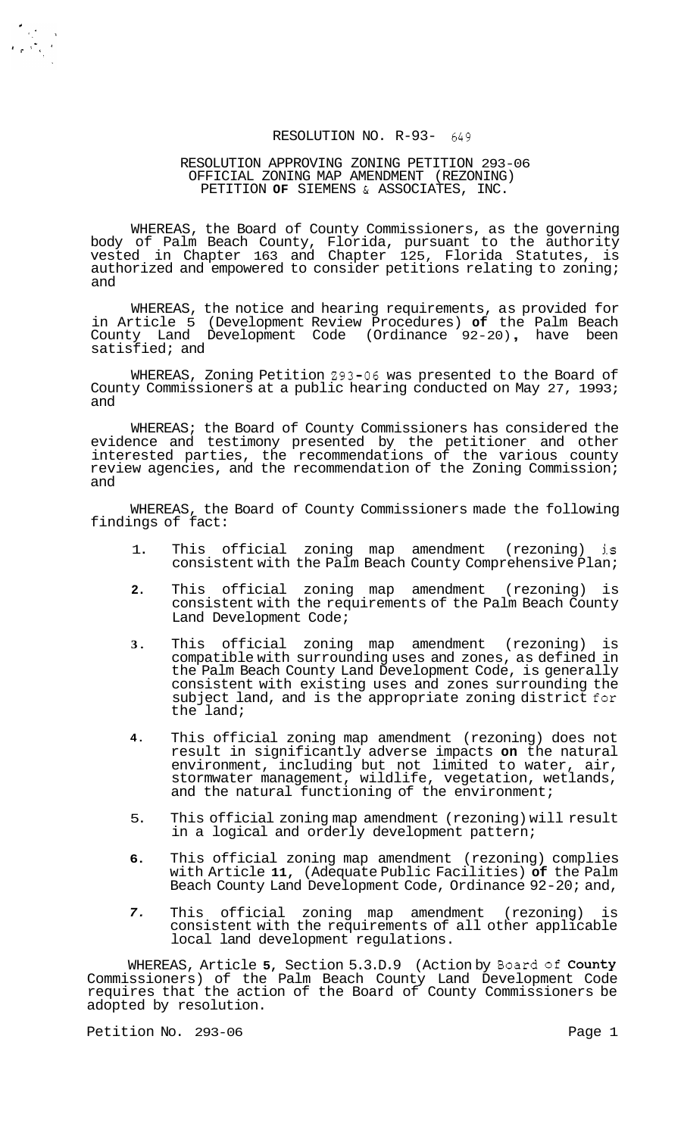### RESOLUTION NO. R-93- *649*

#### RESOLUTION APPROVING ZONING PETITION 293-06 PETITION **OF** SIEMENS & ASSOCIATES, INC. OFFICIAL ZONING MAP AMENDMENT (REZONING)

WHEREAS, the Board of County Commissioners, as the governing body of Palm Beach County, Florida, pursuant to the authority vested in Chapter 163 and Chapter 125, Florida Statutes, is authorized and empowered to consider petitions relating to zoning; and

WHEREAS, the notice and hearing requirements, as provided for in Article 5 (Development Review Procedures) **of** the Palm Beach County Land Development Code (Ordinance 92-20) , have been satisfied; and

WHEREAS, Zoning Petition 293-06 was presented to the Board of County Commissioners at a public hearing conducted on May 27, 1993; and

WHEREAS; the Board of County Commissioners has considered the evidence and testimony presented by the petitioner and other interested parties, the recommendations of the various county review agencies, and the recommendation of the Zoning Commission; and

WHEREAS, the Board of County Commissioners made the following findings of fact:

- 1. This official zoning map amendment (rezoning) **is**  consistent with the Palm Beach County Comprehensive Plan;
- **2.**  This official zoning map amendment (rezoning) is consistent with the requirements of the Palm Beach County Land Development Code;
- **3.**  This official zoning map amendment (rezoning) is compatible with surrounding uses and zones, as defined in the Palm Beach County Land Development Code, is generally consistent with existing uses and zones surrounding the subject land, and is the appropriate zoning district for the land;
- **4.**  This official zoning map amendment (rezoning) does not result in significantly adverse impacts **on** the natural environment, including but not limited to water, air, stormwater management, wildlife, vegetation, wetlands, and the natural functioning of the environment;
- 5. This official zoning map amendment (rezoning) will result in a logical and orderly development pattern;
- **6.**  This official zoning map amendment (rezoning) complies with Article **11,** (Adequate Public Facilities) **of** the Palm Beach County Land Development Code, Ordinance 92-20; and,
- *7.*  This official zoning map amendment (rezoning) is consistent with the requirements of all other applicable local land development regulations.

WHEREAS, Article **5,** Section 5.3.D.9 (Action by Board **of** County Commissioners) of the Palm Beach County Land Development Code requires that the action of the Board of County Commissioners be adopted by resolution.

Petition No. 293-06 Page 1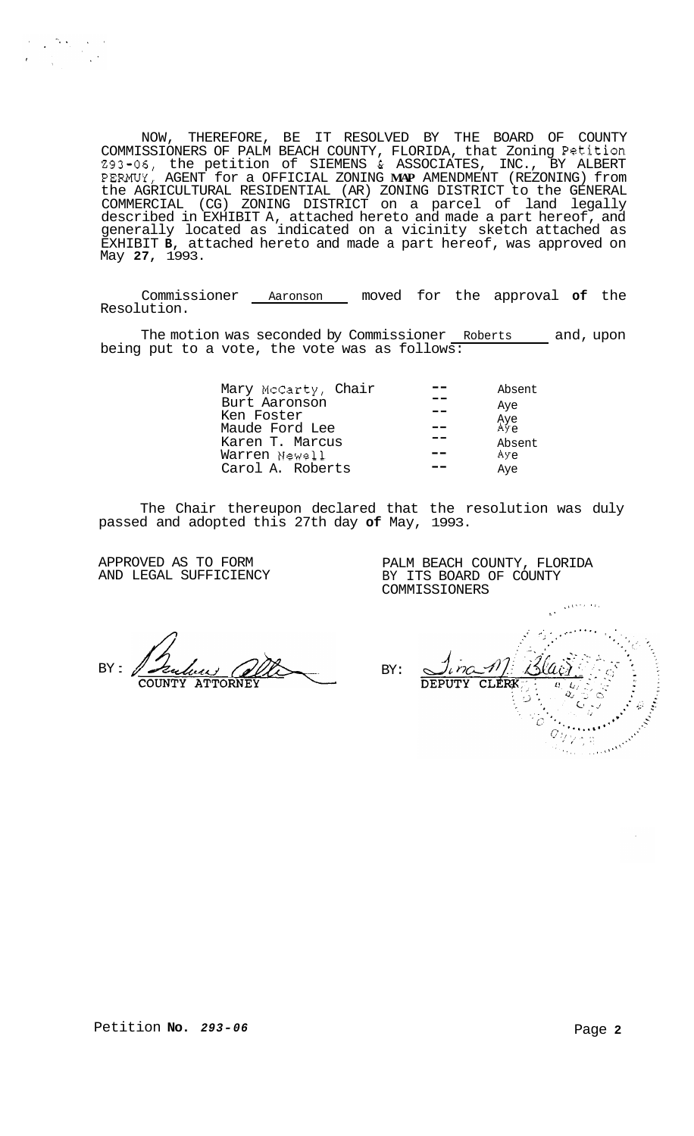NOW, THEREFORE, BE IT RESOLVED BY THE BOARD OF COUNTY COMMISSIONERS OF PALM BEACH COUNTY, FLORIDA, that Zoning Petition 293-06, the petition of SIEMENS & ASSOCIATES, INC., BY ALBERT PERMUY, AGENT for a OFFICIAL ZONING **MAP** AMENDMENT (REZONING) from the AGRICULTURAL RESIDENTIAL (AR) ZONING DISTRICT to the GENERAL COMMERCIAL (CG) ZONING DISTRICT on a parcel of land legally described in EXHIBIT A, attached hereto and made a part hereof, and generally located as indicated on a vicinity sketch attached as EXHIBIT **B,** attached hereto and made a part hereof, was approved on May **27,** 1993.

Commissioner Aaronson moved for the approval **of** the Resolution.

The motion was seconded by Commissioner Roberts and, upon being put to a vote, the vote was as follows:

| Mary McCarty, Chair<br>Burt Aaronson<br>Ken Foster<br>Maude Ford Lee | Absent<br>Aye<br>Aye<br>Aye |
|----------------------------------------------------------------------|-----------------------------|
| Karen T. Marcus                                                      | Absent                      |
| Warren Newell                                                        | Aye                         |
| Carol A. Roberts                                                     | Aye                         |

The Chair thereupon declared that the resolution was duly passed and adopted this 27th day **of** May, 1993.

APPROVED AS TO FORM AND LEGAL SUFFICIENCY

PALM BEACH COUNTY, FLORIDA BY ITS BOARD OF COUNTY COMMISSIONERS

BY :

.. \*..... . . .. **I** .  $\mathscr{D}$ BY:  $\frac{L}{\omega}$ CLERK DEPUTY  $\overline{a}$  $\tilde{C}$ Ξ÷

.., **L'**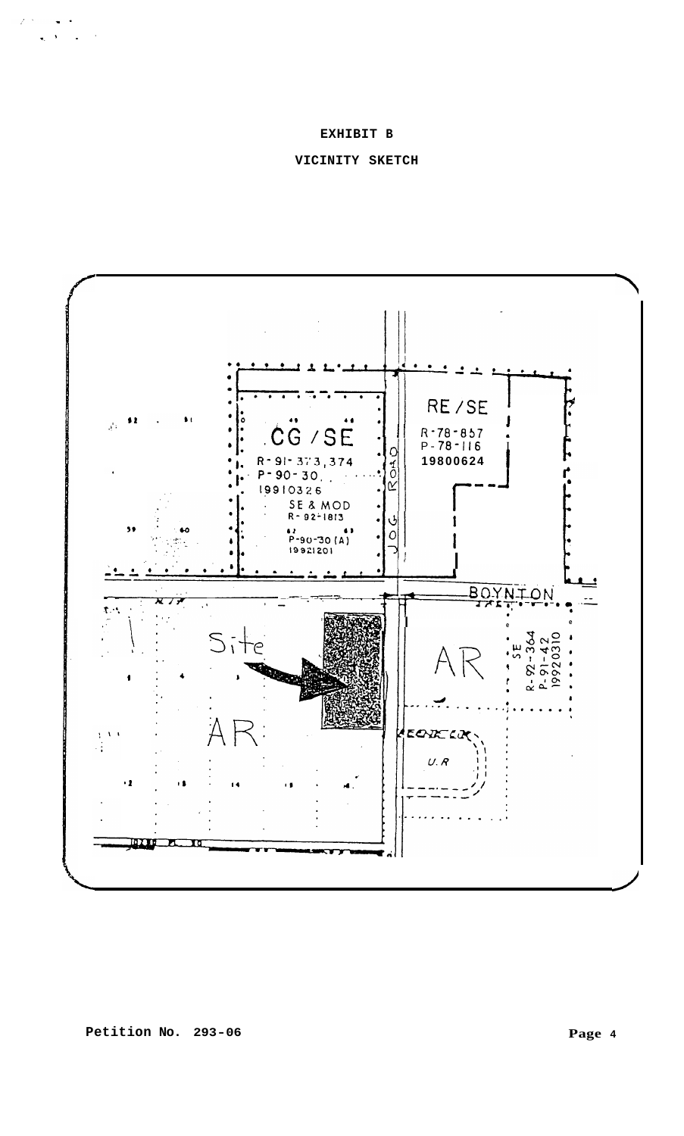# EXHIBIT B

# VICINITY SKETCH



 $\begin{aligned} \mathcal{F}^{\mathcal{G}}_{\mathcal{G}}(\mathbf{w},\mathbf{w}) = & \mathcal{F}^{\mathcal{G}}_{\mathcal{G}}(\mathbf{w},\mathbf{w}) \\ & \times & \mathcal{F}^{\mathcal{G}}_{\mathcal{G}}(\mathbf{w},\mathbf{w}) = & \mathcal{F}^{\mathcal{G}}_{\mathcal{G}}(\mathbf{w},\mathbf{w}) \end{aligned}$